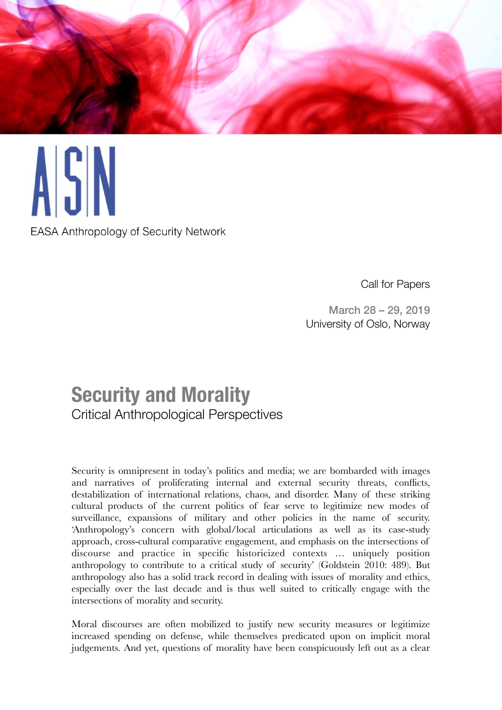

**EASA Anthropology of Security Network** 

Call for Papers

March 28 – 29, 2019 University of Oslo, Norway

## **Security and Morality**  Critical Anthropological Perspectives

Security is omnipresent in today's politics and media; we are bombarded with images and narratives of proliferating internal and external security threats, conflicts, destabilization of international relations, chaos, and disorder. Many of these striking cultural products of the current politics of fear serve to legitimize new modes of surveillance, expansions of military and other policies in the name of security. 'Anthropology's concern with global/local articulations as well as its case-study approach, cross-cultural comparative engagement, and emphasis on the intersections of discourse and practice in specific historicized contexts … uniquely position anthropology to contribute to a critical study of security' (Goldstein 2010: 489). But anthropology also has a solid track record in dealing with issues of morality and ethics, especially over the last decade and is thus well suited to critically engage with the intersections of morality and security.

Moral discourses are often mobilized to justify new security measures or legitimize increased spending on defense, while themselves predicated upon on implicit moral judgements. And yet, questions of morality have been conspicuously left out as a clear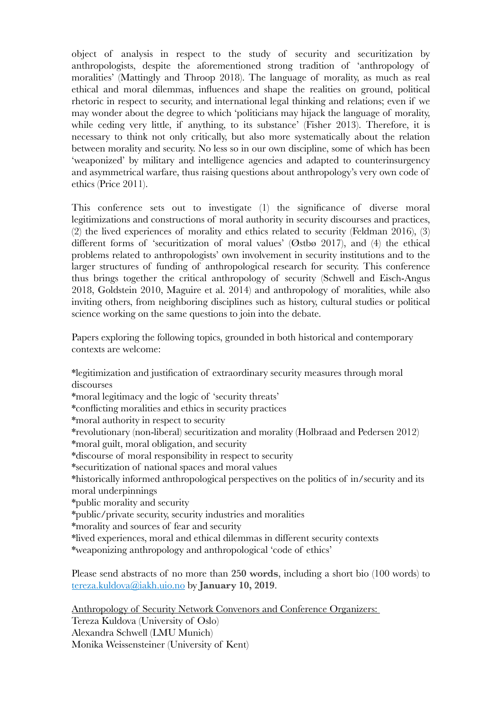object of analysis in respect to the study of security and securitization by anthropologists, despite the aforementioned strong tradition of 'anthropology of moralities' (Mattingly and Throop 2018). The language of morality, as much as real ethical and moral dilemmas, influences and shape the realities on ground, political rhetoric in respect to security, and international legal thinking and relations; even if we may wonder about the degree to which 'politicians may hijack the language of morality, while ceding very little, if anything, to its substance' (Fisher 2013). Therefore, it is necessary to think not only critically, but also more systematically about the relation between morality and security. No less so in our own discipline, some of which has been 'weaponized' by military and intelligence agencies and adapted to counterinsurgency and asymmetrical warfare, thus raising questions about anthropology's very own code of ethics (Price 2011).

This conference sets out to investigate (1) the significance of diverse moral legitimizations and constructions of moral authority in security discourses and practices, (2) the lived experiences of morality and ethics related to security (Feldman 2016), (3) different forms of 'securitization of moral values' (Østbø 2017), and (4) the ethical problems related to anthropologists' own involvement in security institutions and to the larger structures of funding of anthropological research for security. This conference thus brings together the critical anthropology of security (Schwell and Eisch-Angus 2018, Goldstein 2010, Maguire et al. 2014) and anthropology of moralities, while also inviting others, from neighboring disciplines such as history, cultural studies or political science working on the same questions to join into the debate.

Papers exploring the following topics, grounded in both historical and contemporary contexts are welcome:

\*legitimization and justification of extraordinary security measures through moral discourses

\*moral legitimacy and the logic of 'security threats'

\*conflicting moralities and ethics in security practices

\*moral authority in respect to security

\*revolutionary (non-liberal) securitization and morality (Holbraad and Pedersen 2012)

\*moral guilt, moral obligation, and security

\*discourse of moral responsibility in respect to security

\*securitization of national spaces and moral values

\*historically informed anthropological perspectives on the politics of in/security and its moral underpinnings

\*public morality and security

\*public/private security, security industries and moralities

\*morality and sources of fear and security

\*lived experiences, moral and ethical dilemmas in different security contexts

\*weaponizing anthropology and anthropological 'code of ethics'

Please send abstracts of no more than **250 words**, including a short bio (100 words) to [tereza.kuldova@iakh.uio.no](mailto:tereza.kuldova@iakh.uio.no) by **January 10, 2019**.

Anthropology of Security Network Convenors and Conference Organizers: Tereza Kuldova (University of Oslo) Alexandra Schwell (LMU Munich) Monika Weissensteiner (University of Kent)